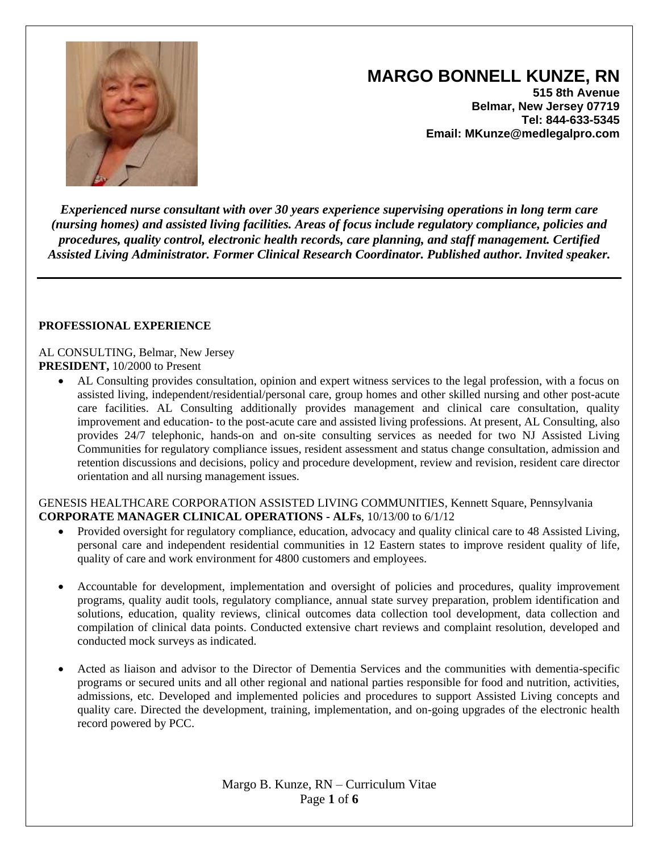

# **MARGO BONNELL KUNZE, RN**

**515 8th Avenue Belmar, New Jersey 07719 Tel: 844-633-5345 Email: MKunze@medlegalpro.com**

*Experienced nurse consultant with over 30 years experience supervising operations in long term care (nursing homes) and assisted living facilities. Areas of focus include regulatory compliance, policies and procedures, quality control, electronic health records, care planning, and staff management. Certified Assisted Living Administrator. Former Clinical Research Coordinator. Published author. Invited speaker.* 

#### **PROFESSIONAL EXPERIENCE**

AL CONSULTING, Belmar, New Jersey **PRESIDENT,** 10/2000 to Present

 AL Consulting provides consultation, opinion and expert witness services to the legal profession, with a focus on assisted living, independent/residential/personal care, group homes and other skilled nursing and other post-acute care facilities. AL Consulting additionally provides management and clinical care consultation, quality improvement and education- to the post-acute care and assisted living professions. At present, AL Consulting, also provides 24/7 telephonic, hands-on and on-site consulting services as needed for two NJ Assisted Living Communities for regulatory compliance issues, resident assessment and status change consultation, admission and retention discussions and decisions, policy and procedure development, review and revision, resident care director orientation and all nursing management issues.

GENESIS HEALTHCARE CORPORATION ASSISTED LIVING COMMUNITIES, Kennett Square, Pennsylvania **CORPORATE MANAGER CLINICAL OPERATIONS - ALFs**, 10/13/00 to 6/1/12

- Provided oversight for regulatory compliance, education, advocacy and quality clinical care to 48 Assisted Living, personal care and independent residential communities in 12 Eastern states to improve resident quality of life, quality of care and work environment for 4800 customers and employees.
- Accountable for development, implementation and oversight of policies and procedures, quality improvement programs, quality audit tools, regulatory compliance, annual state survey preparation, problem identification and solutions, education, quality reviews, clinical outcomes data collection tool development, data collection and compilation of clinical data points. Conducted extensive chart reviews and complaint resolution, developed and conducted mock surveys as indicated.
- Acted as liaison and advisor to the Director of Dementia Services and the communities with dementia-specific programs or secured units and all other regional and national parties responsible for food and nutrition, activities, admissions, etc. Developed and implemented policies and procedures to support Assisted Living concepts and quality care. Directed the development, training, implementation, and on-going upgrades of the electronic health record powered by PCC.

Margo B. Kunze, RN – Curriculum Vitae Page **1** of **6**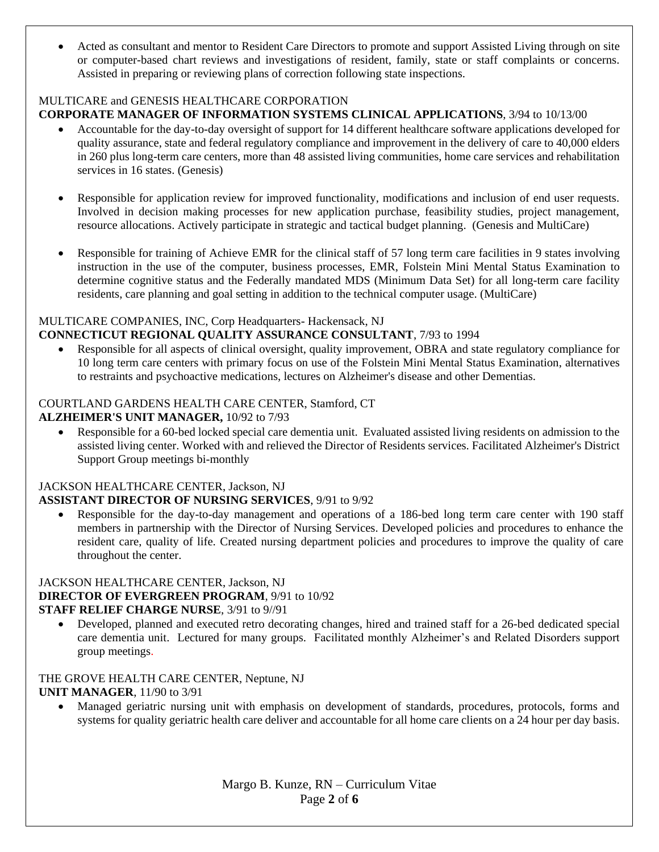Acted as consultant and mentor to Resident Care Directors to promote and support Assisted Living through on site or computer-based chart reviews and investigations of resident, family, state or staff complaints or concerns. Assisted in preparing or reviewing plans of correction following state inspections.

# MULTICARE and GENESIS HEALTHCARE CORPORATION

# **CORPORATE MANAGER OF INFORMATION SYSTEMS CLINICAL APPLICATIONS**, 3/94 to 10/13/00

- Accountable for the day-to-day oversight of support for 14 different healthcare software applications developed for quality assurance, state and federal regulatory compliance and improvement in the delivery of care to 40,000 elders in 260 plus long-term care centers, more than 48 assisted living communities, home care services and rehabilitation services in 16 states. (Genesis)
- Responsible for application review for improved functionality, modifications and inclusion of end user requests. Involved in decision making processes for new application purchase, feasibility studies, project management, resource allocations. Actively participate in strategic and tactical budget planning. (Genesis and MultiCare)
- Responsible for training of Achieve EMR for the clinical staff of 57 long term care facilities in 9 states involving instruction in the use of the computer, business processes, EMR, Folstein Mini Mental Status Examination to determine cognitive status and the Federally mandated MDS (Minimum Data Set) for all long-term care facility residents, care planning and goal setting in addition to the technical computer usage. (MultiCare)

### MULTICARE COMPANIES, INC, Corp Headquarters- Hackensack, NJ

### **CONNECTICUT REGIONAL QUALITY ASSURANCE CONSULTANT**, 7/93 to 1994

 Responsible for all aspects of clinical oversight, quality improvement, OBRA and state regulatory compliance for 10 long term care centers with primary focus on use of the Folstein Mini Mental Status Examination, alternatives to restraints and psychoactive medications, lectures on Alzheimer's disease and other Dementias.

# COURTLAND GARDENS HEALTH CARE CENTER, Stamford, CT

### **ALZHEIMER'S UNIT MANAGER,** 10/92 to 7/93

 Responsible for a 60-bed locked special care dementia unit. Evaluated assisted living residents on admission to the assisted living center. Worked with and relieved the Director of Residents services. Facilitated Alzheimer's District Support Group meetings bi-monthly

#### JACKSON HEALTHCARE CENTER, Jackson, NJ **ASSISTANT DIRECTOR OF NURSING SERVICES**, 9/91 to 9/92

 Responsible for the day-to-day management and operations of a 186-bed long term care center with 190 staff members in partnership with the Director of Nursing Services. Developed policies and procedures to enhance the resident care, quality of life. Created nursing department policies and procedures to improve the quality of care throughout the center.

#### JACKSON HEALTHCARE CENTER, Jackson, NJ **DIRECTOR OF EVERGREEN PROGRAM**, 9/91 to 10/92 **STAFF RELIEF CHARGE NURSE**, 3/91 to 9//91

 Developed, planned and executed retro decorating changes, hired and trained staff for a 26-bed dedicated special care dementia unit. Lectured for many groups. Facilitated monthly Alzheimer's and Related Disorders support group meetings.

#### THE GROVE HEALTH CARE CENTER, Neptune, NJ **UNIT MANAGER**, 11/90 to 3/91

 Managed geriatric nursing unit with emphasis on development of standards, procedures, protocols, forms and systems for quality geriatric health care deliver and accountable for all home care clients on a 24 hour per day basis.

> Margo B. Kunze, RN – Curriculum Vitae Page **2** of **6**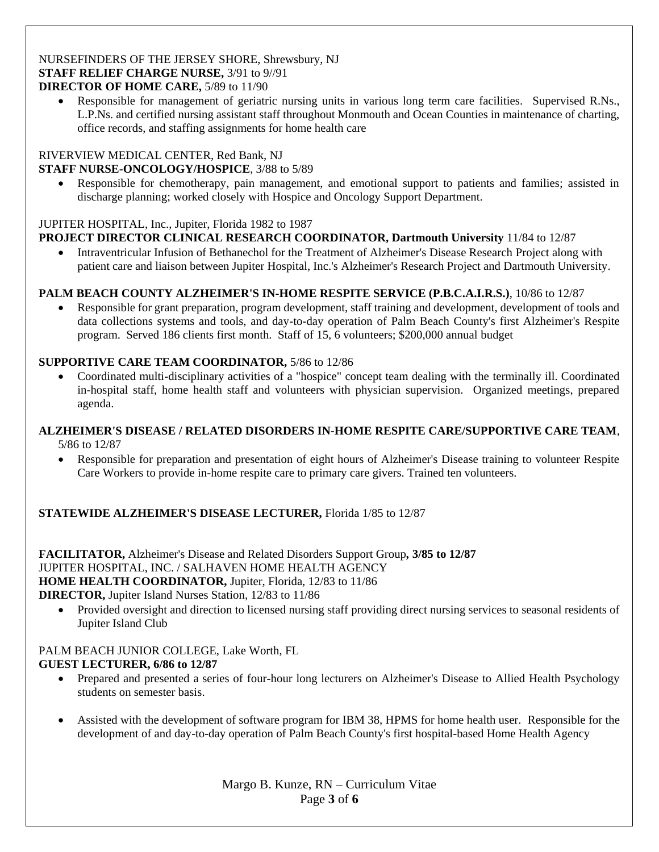#### NURSEFINDERS OF THE JERSEY SHORE, Shrewsbury, NJ **STAFF RELIEF CHARGE NURSE,** 3/91 to 9//91 **DIRECTOR OF HOME CARE,** 5/89 to 11/90

 Responsible for management of geriatric nursing units in various long term care facilities. Supervised R.Ns., L.P.Ns. and certified nursing assistant staff throughout Monmouth and Ocean Counties in maintenance of charting, office records, and staffing assignments for home health care

#### RIVERVIEW MEDICAL CENTER, Red Bank, NJ **STAFF NURSE-ONCOLOGY/HOSPICE**, 3/88 to 5/89

 Responsible for chemotherapy, pain management, and emotional support to patients and families; assisted in discharge planning; worked closely with Hospice and Oncology Support Department.

# JUPITER HOSPITAL, Inc., Jupiter, Florida 1982 to 1987

# **PROJECT DIRECTOR CLINICAL RESEARCH COORDINATOR, Dartmouth University** 11/84 to 12/87

 Intraventricular Infusion of Bethanechol for the Treatment of Alzheimer's Disease Research Project along with patient care and liaison between Jupiter Hospital, Inc.'s Alzheimer's Research Project and Dartmouth University.

# **PALM BEACH COUNTY ALZHEIMER'S IN-HOME RESPITE SERVICE (P.B.C.A.I.R.S.)**, 10/86 to 12/87

 Responsible for grant preparation, program development, staff training and development, development of tools and data collections systems and tools, and day-to-day operation of Palm Beach County's first Alzheimer's Respite program. Served 186 clients first month. Staff of 15, 6 volunteers; \$200,000 annual budget

### **SUPPORTIVE CARE TEAM COORDINATOR,** 5/86 to 12/86

 Coordinated multi-disciplinary activities of a "hospice" concept team dealing with the terminally ill. Coordinated in-hospital staff, home health staff and volunteers with physician supervision. Organized meetings, prepared agenda.

#### **ALZHEIMER'S DISEASE / RELATED DISORDERS IN-HOME RESPITE CARE/SUPPORTIVE CARE TEAM***,*  5/86 to 12/87

 Responsible for preparation and presentation of eight hours of Alzheimer's Disease training to volunteer Respite Care Workers to provide in-home respite care to primary care givers. Trained ten volunteers.

### **STATEWIDE ALZHEIMER'S DISEASE LECTURER,** Florida 1/85 to 12/87

**FACILITATOR,** Alzheimer's Disease and Related Disorders Support Group*,* **3/85 to 12/87**  JUPITER HOSPITAL, INC. / SALHAVEN HOME HEALTH AGENCY **HOME HEALTH COORDINATOR,** Jupiter, Florida, 12/83 to 11/86

**DIRECTOR,** Jupiter Island Nurses Station*,* 12/83 to 11/86

 Provided oversight and direction to licensed nursing staff providing direct nursing services to seasonal residents of Jupiter Island Club

#### PALM BEACH JUNIOR COLLEGE, Lake Worth, FL **GUEST LECTURER, 6/86 to 12/87**

- Prepared and presented a series of four-hour long lecturers on Alzheimer's Disease to Allied Health Psychology students on semester basis.
- Assisted with the development of software program for IBM 38, HPMS for home health user. Responsible for the development of and day-to-day operation of Palm Beach County's first hospital-based Home Health Agency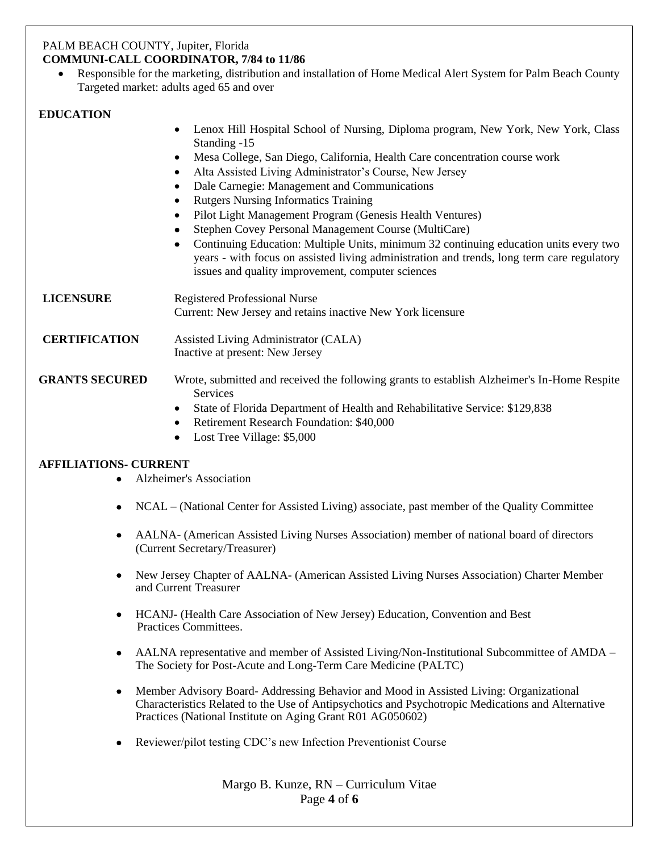#### PALM BEACH COUNTY, Jupiter, Florida **COMMUNI-CALL COORDINATOR, 7/84 to 11/86**

 Responsible for the marketing, distribution and installation of Home Medical Alert System for Palm Beach County Targeted market: adults aged 65 and over

### **EDUCATION**

|                       | Lenox Hill Hospital School of Nursing, Diploma program, New York, New York, Class<br>$\bullet$<br>Standing -15                                                                                                                                        |
|-----------------------|-------------------------------------------------------------------------------------------------------------------------------------------------------------------------------------------------------------------------------------------------------|
|                       | Mesa College, San Diego, California, Health Care concentration course work<br>$\bullet$                                                                                                                                                               |
|                       | Alta Assisted Living Administrator's Course, New Jersey<br>$\bullet$                                                                                                                                                                                  |
|                       | Dale Carnegie: Management and Communications<br>$\bullet$                                                                                                                                                                                             |
|                       | <b>Rutgers Nursing Informatics Training</b>                                                                                                                                                                                                           |
|                       | Pilot Light Management Program (Genesis Health Ventures)<br>$\bullet$                                                                                                                                                                                 |
|                       | Stephen Covey Personal Management Course (MultiCare)                                                                                                                                                                                                  |
|                       | Continuing Education: Multiple Units, minimum 32 continuing education units every two<br>$\bullet$<br>years - with focus on assisted living administration and trends, long term care regulatory<br>issues and quality improvement, computer sciences |
| <b>LICENSURE</b>      | <b>Registered Professional Nurse</b>                                                                                                                                                                                                                  |
|                       | Current: New Jersey and retains inactive New York licensure                                                                                                                                                                                           |
| <b>CERTIFICATION</b>  | Assisted Living Administrator (CALA)                                                                                                                                                                                                                  |
|                       | Inactive at present: New Jersey                                                                                                                                                                                                                       |
| <b>GRANTS SECURED</b> | Wrote, submitted and received the following grants to establish Alzheimer's In-Home Respite<br>Services                                                                                                                                               |
|                       | State of Florida Department of Health and Rehabilitative Service: \$129,838<br>$\bullet$                                                                                                                                                              |
|                       | Retirement Research Foundation: \$40,000<br>$\bullet$                                                                                                                                                                                                 |
|                       | Lost Tree Village: \$5,000                                                                                                                                                                                                                            |

### **AFFILIATIONS- CURRENT**

- Alzheimer's Association
- NCAL (National Center for Assisted Living) associate, past member of the Quality Committee
- AALNA- (American Assisted Living Nurses Association) member of national board of directors (Current Secretary/Treasurer)
- New Jersey Chapter of AALNA- (American Assisted Living Nurses Association) Charter Member and Current Treasurer
- HCANJ- (Health Care Association of New Jersey) Education, Convention and Best Practices Committees.
- AALNA representative and member of Assisted Living/Non-Institutional Subcommittee of AMDA The Society for Post-Acute and Long-Term Care Medicine (PALTC)
- Member Advisory Board- Addressing Behavior and Mood in Assisted Living: Organizational Characteristics Related to the Use of Antipsychotics and Psychotropic Medications and Alternative Practices (National Institute on Aging Grant R01 AG050602)
- Reviewer/pilot testing CDC's new Infection Preventionist Course

Margo B. Kunze, RN – Curriculum Vitae Page **4** of **6**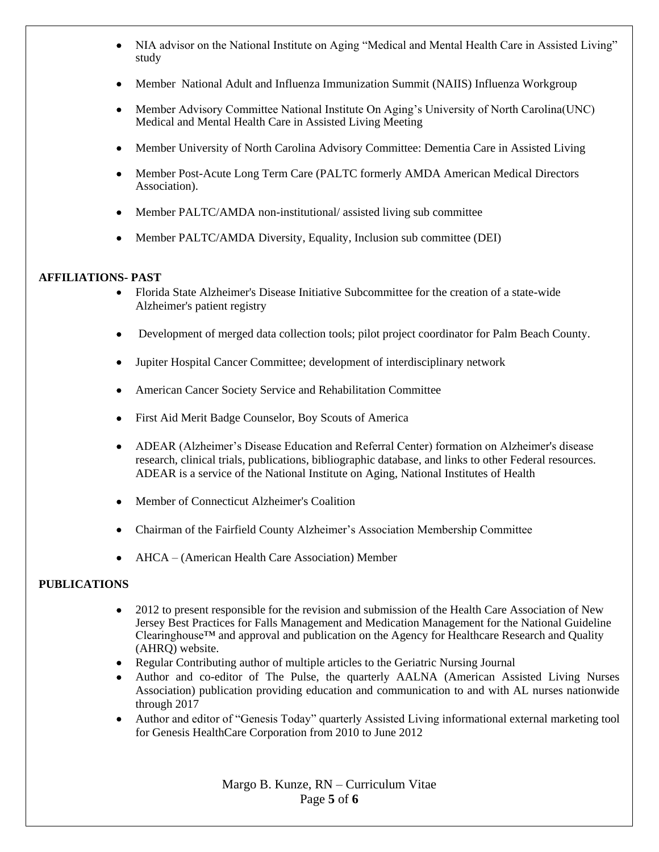- NIA advisor on the National Institute on Aging "Medical and Mental Health Care in Assisted Living" study
- Member National Adult and Influenza Immunization Summit (NAIIS) Influenza Workgroup
- Member Advisory Committee National Institute On Aging's University of North Carolina(UNC) Medical and Mental Health Care in Assisted Living Meeting
- Member University of North Carolina Advisory Committee: Dementia Care in Assisted Living
- Member Post-Acute Long Term Care (PALTC formerly AMDA American Medical Directors Association).
- Member PALTC/AMDA non-institutional/ assisted living sub committee
- Member PALTC/AMDA Diversity, Equality, Inclusion sub committee (DEI)

#### **AFFILIATIONS- PAST**

- Florida State Alzheimer's Disease Initiative Subcommittee for the creation of a state-wide Alzheimer's patient registry
- Development of merged data collection tools; pilot project coordinator for Palm Beach County.
- Jupiter Hospital Cancer Committee; development of interdisciplinary network
- American Cancer Society Service and Rehabilitation Committee
- First Aid Merit Badge Counselor, Boy Scouts of America
- ADEAR (Alzheimer's Disease Education and Referral Center) formation on Alzheimer's disease research, clinical trials, publications, bibliographic database, and links to other Federal resources. ADEAR is a service of the National Institute on Aging, National Institutes of Health
- Member of Connecticut Alzheimer's Coalition
- Chairman of the Fairfield County Alzheimer's Association Membership Committee
- AHCA (American Health Care Association) Member

### **PUBLICATIONS**

- 2012 to present responsible for the revision and submission of the Health Care Association of New Jersey Best Practices for Falls Management and Medication Management for the National Guideline Clearinghouse™ and approval and publication on the Agency for Healthcare Research and Quality (AHRQ) website.
- Regular Contributing author of multiple articles to the Geriatric Nursing Journal
- Author and co-editor of The Pulse, the quarterly AALNA (American Assisted Living Nurses Association) publication providing education and communication to and with AL nurses nationwide through 2017
- Author and editor of "Genesis Today" quarterly Assisted Living informational external marketing tool for Genesis HealthCare Corporation from 2010 to June 2012

Margo B. Kunze, RN – Curriculum Vitae Page **5** of **6**